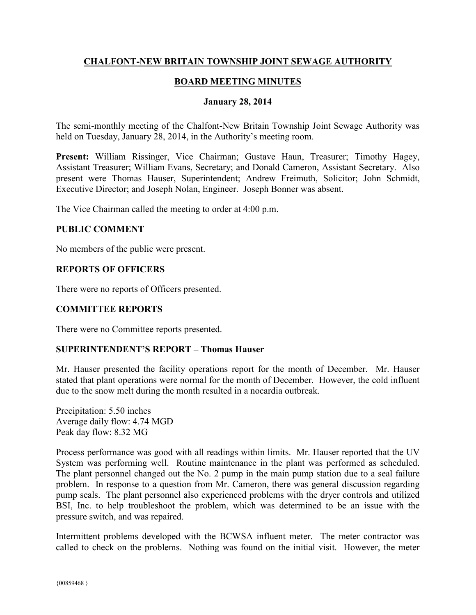# **CHALFONT-NEW BRITAIN TOWNSHIP JOINT SEWAGE AUTHORITY**

# **BOARD MEETING MINUTES**

## **January 28, 2014**

The semi-monthly meeting of the Chalfont-New Britain Township Joint Sewage Authority was held on Tuesday, January 28, 2014, in the Authority's meeting room.

**Present:** William Rissinger, Vice Chairman; Gustave Haun, Treasurer; Timothy Hagey, Assistant Treasurer; William Evans, Secretary; and Donald Cameron, Assistant Secretary. Also present were Thomas Hauser, Superintendent; Andrew Freimuth, Solicitor; John Schmidt, Executive Director; and Joseph Nolan, Engineer. Joseph Bonner was absent.

The Vice Chairman called the meeting to order at 4:00 p.m.

#### **PUBLIC COMMENT**

No members of the public were present.

#### **REPORTS OF OFFICERS**

There were no reports of Officers presented.

## **COMMITTEE REPORTS**

There were no Committee reports presented.

## **SUPERINTENDENT'S REPORT – Thomas Hauser**

Mr. Hauser presented the facility operations report for the month of December. Mr. Hauser stated that plant operations were normal for the month of December. However, the cold influent due to the snow melt during the month resulted in a nocardia outbreak.

Precipitation: 5.50 inches Average daily flow: 4.74 MGD Peak day flow: 8.32 MG

Process performance was good with all readings within limits. Mr. Hauser reported that the UV System was performing well. Routine maintenance in the plant was performed as scheduled. The plant personnel changed out the No. 2 pump in the main pump station due to a seal failure problem. In response to a question from Mr. Cameron, there was general discussion regarding pump seals. The plant personnel also experienced problems with the dryer controls and utilized BSI, Inc. to help troubleshoot the problem, which was determined to be an issue with the pressure switch, and was repaired.

Intermittent problems developed with the BCWSA influent meter. The meter contractor was called to check on the problems. Nothing was found on the initial visit. However, the meter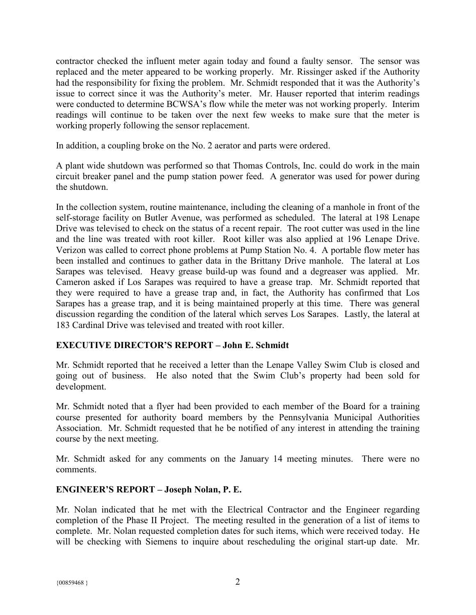contractor checked the influent meter again today and found a faulty sensor. The sensor was replaced and the meter appeared to be working properly. Mr. Rissinger asked if the Authority had the responsibility for fixing the problem. Mr. Schmidt responded that it was the Authority's issue to correct since it was the Authority's meter. Mr. Hauser reported that interim readings were conducted to determine BCWSA's flow while the meter was not working properly. Interim readings will continue to be taken over the next few weeks to make sure that the meter is working properly following the sensor replacement.

In addition, a coupling broke on the No. 2 aerator and parts were ordered.

A plant wide shutdown was performed so that Thomas Controls, Inc. could do work in the main circuit breaker panel and the pump station power feed. A generator was used for power during the shutdown.

In the collection system, routine maintenance, including the cleaning of a manhole in front of the self-storage facility on Butler Avenue, was performed as scheduled. The lateral at 198 Lenape Drive was televised to check on the status of a recent repair. The root cutter was used in the line and the line was treated with root killer. Root killer was also applied at 196 Lenape Drive. Verizon was called to correct phone problems at Pump Station No. 4. A portable flow meter has been installed and continues to gather data in the Brittany Drive manhole. The lateral at Los Sarapes was televised. Heavy grease build-up was found and a degreaser was applied. Mr. Cameron asked if Los Sarapes was required to have a grease trap. Mr. Schmidt reported that they were required to have a grease trap and, in fact, the Authority has confirmed that Los Sarapes has a grease trap, and it is being maintained properly at this time. There was general discussion regarding the condition of the lateral which serves Los Sarapes. Lastly, the lateral at 183 Cardinal Drive was televised and treated with root killer.

# **EXECUTIVE DIRECTOR'S REPORT – John E. Schmidt**

Mr. Schmidt reported that he received a letter than the Lenape Valley Swim Club is closed and going out of business. He also noted that the Swim Club's property had been sold for development.

Mr. Schmidt noted that a flyer had been provided to each member of the Board for a training course presented for authority board members by the Pennsylvania Municipal Authorities Association. Mr. Schmidt requested that he be notified of any interest in attending the training course by the next meeting.

Mr. Schmidt asked for any comments on the January 14 meeting minutes. There were no comments.

## **ENGINEER'S REPORT – Joseph Nolan, P. E.**

Mr. Nolan indicated that he met with the Electrical Contractor and the Engineer regarding completion of the Phase II Project. The meeting resulted in the generation of a list of items to complete. Mr. Nolan requested completion dates for such items, which were received today. He will be checking with Siemens to inquire about rescheduling the original start-up date. Mr.